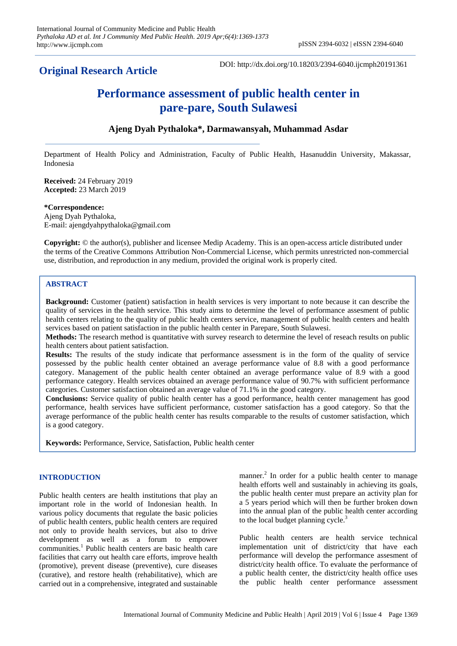## **Original Research Article**

DOI: http://dx.doi.org/10.18203/2394-6040.ijcmph20191361

# **Performance assessment of public health center in pare-pare, South Sulawesi**

### **Ajeng Dyah Pythaloka\*, Darmawansyah, Muhammad Asdar**

Department of Health Policy and Administration, Faculty of Public Health, Hasanuddin University, Makassar, Indonesia

**Received:** 24 February 2019 **Accepted:** 23 March 2019

**\*Correspondence:** Ajeng Dyah Pythaloka, E-mail: ajengdyahpythaloka@gmail.com

**Copyright:** © the author(s), publisher and licensee Medip Academy. This is an open-access article distributed under the terms of the Creative Commons Attribution Non-Commercial License, which permits unrestricted non-commercial use, distribution, and reproduction in any medium, provided the original work is properly cited.

#### **ABSTRACT**

**Background:** Customer (patient) satisfaction in health services is very important to note because it can describe the quality of services in the health service. This study aims to determine the level of performance assesment of public health centers relating to the quality of public health centers service, management of public health centers and health services based on patient satisfaction in the public health center in Parepare, South Sulawesi.

**Methods:** The research method is quantitative with survey research to determine the level of reseach results on public health centers about patient satisfaction.

**Results:** The results of the study indicate that performance assessment is in the form of the quality of service possessed by the public health center obtained an average performance value of 8.8 with a good performance category. Management of the public health center obtained an average performance value of 8.9 with a good performance category. Health services obtained an average performance value of 90.7% with sufficient performance categories. Customer satisfaction obtained an average value of 71.1% in the good category.

**Conclusions:** Service quality of public health center has a good performance, health center management has good performance, health services have sufficient performance, customer satisfaction has a good category. So that the average performance of the public health center has results comparable to the results of customer satisfaction, which is a good category.

**Keywords:** Performance, Service, Satisfaction, Public health center

#### **INTRODUCTION**

Public health centers are health institutions that play an important role in the world of Indonesian health. In various policy documents that regulate the basic policies of public health centers, public health centers are required not only to provide health services, but also to drive development as well as a forum to empower communities.<sup>1</sup> Public health centers are basic health care facilities that carry out health care efforts, improve health (promotive), prevent disease (preventive), cure diseases (curative), and restore health (rehabilitative), which are carried out in a comprehensive, integrated and sustainable

manner.<sup>2</sup> In order for a public health center to manage health efforts well and sustainably in achieving its goals, the public health center must prepare an activity plan for a 5 years period which will then be further broken down into the annual plan of the public health center according to the local budget planning cycle.<sup>3</sup>

Public health centers are health service technical implementation unit of district/city that have each performance will develop the performance assesment of district/city health office. To evaluate the performance of a public health center, the district/city health office uses the public health center performance assessment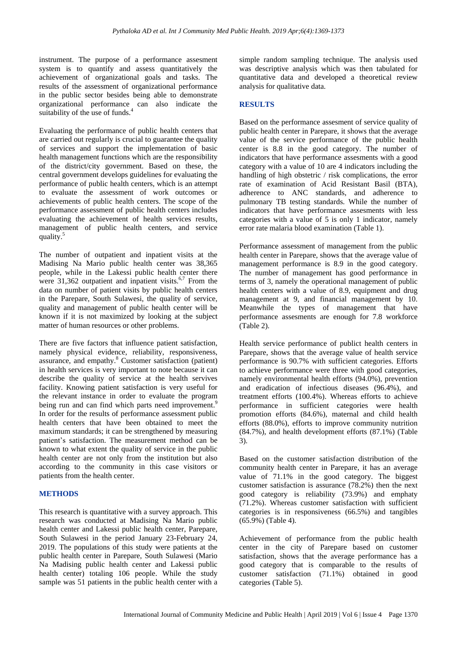instrument. The purpose of a performance assesment system is to quantify and assess quantitatively the achievement of organizational goals and tasks. The results of the assessment of organizational performance in the public sector besides being able to demonstrate organizational performance can also indicate the suitability of the use of funds.<sup>4</sup>

Evaluating the performance of public health centers that are carried out regularly is crucial to guarantee the quality of services and support the implementation of basic health management functions which are the responsibility of the district/city government. Based on these, the central government develops guidelines for evaluating the performance of public health centers, which is an attempt to evaluate the assessment of work outcomes or achievements of public health centers. The scope of the performance assessment of public health centers includes evaluating the achievement of health services results, management of public health centers, and service quality.<sup>5</sup>

The number of outpatient and inpatient visits at the Madising Na Mario public health center was 38,365 people, while in the Lakessi public health center there were  $31,362$  outpatient and inpatient visits.<sup>6,7</sup> From the data on number of patient visits by public health centers in the Parepare, South Sulawesi, the quality of service, quality and management of public health center will be known if it is not maximized by looking at the subject matter of human resources or other problems.

There are five factors that influence patient satisfaction, namely physical evidence, reliability, responsiveness, assurance, and empathy.<sup>8</sup> Customer satisfaction (patient) in health services is very important to note because it can describe the quality of service at the health servives facility. Knowing patient satisfaction is very useful for the relevant instance in order to evaluate the program being run and can find which parts need improvement.<sup>9</sup> In order for the results of performance assessment public health centers that have been obtained to meet the maximum standards; it can be strengthened by measuring patient's satisfaction. The measurement method can be known to what extent the quality of service in the public health center are not only from the institution but also according to the community in this case visitors or patients from the health center.

#### **METHODS**

This research is quantitative with a survey approach. This research was conducted at Madising Na Mario public health center and Lakessi public health center, Parepare, South Sulawesi in the period January 23-February 24, 2019. The populations of this study were patients at the public health center in Parepare, South Sulawesi (Mario Na Madising public health center and Lakessi public health center) totaling 106 people. While the study sample was 51 patients in the public health center with a simple random sampling technique. The analysis used was descriptive analysis which was then tabulated for quantitative data and developed a theoretical review analysis for qualitative data.

#### **RESULTS**

Based on the performance assesment of service quality of public health center in Parepare, it shows that the average value of the service performance of the public health center is 8.8 in the good category. The number of indicators that have performance assesments with a good category with a value of 10 are 4 indicators including the handling of high obstetric / risk complications, the error rate of examination of Acid Resistant Basil (BTA), adherence to ANC standards, and adherence to pulmonary TB testing standards. While the number of indicators that have performance assesments with less categories with a value of 5 is only 1 indicator, namely error rate malaria blood examination (Table 1).

Performance assessment of management from the public health center in Parepare, shows that the average value of management performance is 8.9 in the good category. The number of management has good performance in terms of 3, namely the operational management of public health centers with a value of 8.9, equipment and drug management at 9, and financial management by 10. Meanwhile the types of management that have performance assesments are enough for 7.8 workforce (Table 2).

Health service performance of publict health centers in Parepare, shows that the average value of health service performance is 90.7% with sufficient categories. Efforts to achieve performance were three with good categories, namely environmental health efforts (94.0%), prevention and eradication of infectious diseases (96.4%), and treatment efforts (100.4%). Whereas efforts to achieve performance in sufficient categories were health promotion efforts (84.6%), maternal and child health efforts (88.0%), efforts to improve community nutrition (84.7%), and health development efforts (87.1%) (Table 3).

Based on the customer satisfaction distribution of the community health center in Parepare, it has an average value of 71.1% in the good category. The biggest customer satisfaction is assurance (78.2%) then the next good category is reliability (73.9%) and emphaty (71.2%). Whereas customer satisfaction with sufficient categories is in responsiveness (66.5%) and tangibles (65.9%) (Table 4).

Achievement of performance from the public health center in the city of Parepare based on customer satisfaction, shows that the average performance has a good category that is comparable to the results of customer satisfaction (71.1%) obtained in good categories (Table 5).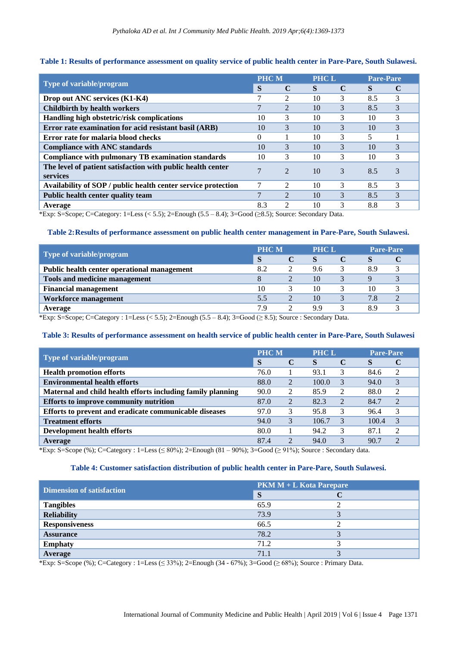#### **Table 1: Results of performance assessment on quality service of public health center in Pare-Pare, South Sulawesi.**

|                                                                         | <b>PHCM</b>     |                                                                                                                                                                 | <b>PHCL</b> |   | <b>Pare-Pare</b> |   |
|-------------------------------------------------------------------------|-----------------|-----------------------------------------------------------------------------------------------------------------------------------------------------------------|-------------|---|------------------|---|
| Type of variable/program                                                |                 | C                                                                                                                                                               | S           | C | S                | C |
| Drop out ANC services (K1-K4)                                           |                 | $\mathcal{L}$                                                                                                                                                   | 10          | 3 | 8.5              | 3 |
| <b>Childbirth by health workers</b>                                     |                 | $\overline{2}$                                                                                                                                                  | 10          | 3 | 8.5              | 3 |
| Handling high obstetric/risk complications                              | 10              | 3                                                                                                                                                               | 10          | 3 | 10               | 3 |
| Error rate examination for acid resistant basil (ARB)                   | 10              | 3                                                                                                                                                               | 10          | 3 | 10               | 3 |
| Error rate for malaria blood checks                                     | 0               |                                                                                                                                                                 | 10          | 3 | 5                |   |
| <b>Compliance with ANC standards</b>                                    | 10              | 3                                                                                                                                                               | 10          | 3 | 10               | 3 |
| <b>Compliance with pulmonary TB examination standards</b>               | 10              | 3                                                                                                                                                               | 10          | 3 | 10               | 3 |
| The level of patient satisfaction with public health center<br>services |                 | $\mathfrak{D}$                                                                                                                                                  | 10          | 3 | 8.5              | 3 |
| Availability of SOP / public health center service protection           |                 | $\mathfrak{D}$                                                                                                                                                  | 10          | 3 | 8.5              | 3 |
| <b>Public health center quality team</b>                                | $\mathbf{\tau}$ | $\overline{2}$                                                                                                                                                  | 10          | 3 | 8.5              | 3 |
| Average                                                                 | 8.3             | $\mathcal{D}_{\mathcal{A}}^{\mathcal{A}}(\mathcal{A})=\mathcal{D}_{\mathcal{A}}^{\mathcal{A}}(\mathcal{A})\mathcal{D}_{\mathcal{A}}^{\mathcal{A}}(\mathcal{A})$ | 10          | 3 | 8.8              | 3 |

\*Exp: S=Scope; C=Category: 1=Less (< 5.5); 2=Enough (5.5 – 8.4); 3=Good (≥8.5); Source: Secondary Data.

#### **Table 2:Results of performance assessment on public health center management in Pare-Pare, South Sulawesi.**

| Type of variable/program                    | <b>PHCM</b> |  | <b>PHC L</b> |  | <b>Pare-Pare</b> |  |
|---------------------------------------------|-------------|--|--------------|--|------------------|--|
|                                             | S           |  | S            |  | O                |  |
| Public health center operational management | 8.2         |  | 9.6          |  | 8.9              |  |
| Tools and medicine management               |             |  | 10           |  |                  |  |
| <b>Financial management</b>                 | 10          |  | 10           |  | 10               |  |
| Workforce management                        | 5.5         |  | 10           |  | 7.8              |  |
| Average                                     | 7.9         |  | 9.9          |  | 89               |  |

\*Exp: S=Scope; C=Category : 1=Less (< 5.5); 2=Enough (5.5 – 8.4); 3=Good (≥ 8.5); Source : Secondary Data.

#### **Table 3: Results of performance assessment on health service of public health center in Pare-Pare, South Sulawesi**

|                                                             | <b>PHCM</b> |                | <b>PHC L</b> |               | <b>Pare-Pare</b> |                |
|-------------------------------------------------------------|-------------|----------------|--------------|---------------|------------------|----------------|
| Type of variable/program                                    |             | C              | S            | C             | S                |                |
| <b>Health promotion efforts</b>                             | 76.0        |                | 93.1         | 3             | 84.6             | 2              |
| <b>Environmental health efforts</b>                         | 88.0        | $\overline{2}$ | 100.0        | 3             | 94.0             | 3              |
| Maternal and child health efforts including family planning | 90.0        | 2              | 85.9         | 2             | 88.0             | 2              |
| Efforts to improve community nutrition                      | 87.0        | $\overline{2}$ | 82.3         | $\mathcal{L}$ | 84.7             | $\overline{2}$ |
| Efforts to prevent and eradicate communicable diseases      | 97.0        | 3              | 95.8         | 3             | 96.4             | 3              |
| <b>Treatment efforts</b>                                    | 94.0        | 3              | 106.7        | $\mathcal{E}$ | 100.4            | $\mathcal{R}$  |
| <b>Development health efforts</b>                           | 80.0        |                | 94.2         | 3             | 87.1             | 2              |
| Average                                                     | 87.4        | 2              | 94.0         | 3             | 90.7             | $\mathfrak{D}$ |

\*Exp: S=Scope (%); C=Category : 1=Less ( $\leq 80\%$ ); 2=Enough (81 – 90%); 3=Good ( $\geq 91\%$ ); Source : Secondary data.

#### **Table 4: Customer satisfaction distribution of public health center in Pare-Pare, South Sulawesi.**

| <b>Dimension of satisfaction</b> | $PKM M + L Kota$ Parepare |  |  |  |  |
|----------------------------------|---------------------------|--|--|--|--|
|                                  | S                         |  |  |  |  |
| <b>Tangibles</b>                 | 65.9                      |  |  |  |  |
| <b>Reliability</b>               | 73.9                      |  |  |  |  |
| <b>Responsiveness</b>            | 66.5                      |  |  |  |  |
| <b>Assurance</b>                 | 78.2                      |  |  |  |  |
| <b>Emphaty</b>                   | 71.2                      |  |  |  |  |
| Average                          | 71.1                      |  |  |  |  |

\*Exp: S=Scope (%); C=Category : 1=Less (≤ 33%); 2=Enough (34 - 67%); 3=Good (≥ 68%); Source : Primary Data.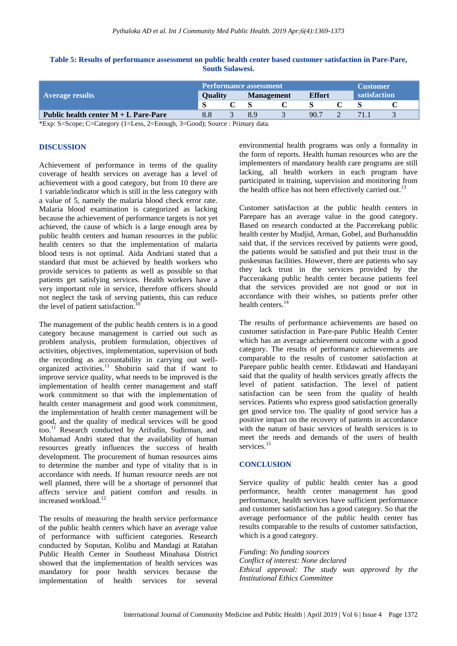#### **Table 5: Results of performance assessment on public health center based customer satisfaction in Pare-Pare, South Sulawesi.**

|                                        | <b>Performance assessment</b> |                |  |                   |      |               | Customer |              |  |
|----------------------------------------|-------------------------------|----------------|--|-------------------|------|---------------|----------|--------------|--|
| <b>Average results</b>                 |                               | <b>Ouality</b> |  | <b>Management</b> |      | <b>Effort</b> |          | satisfaction |  |
|                                        | S                             |                |  |                   |      |               |          |              |  |
| Public health center $M + L$ Pare-Pare | 8.8                           |                |  |                   | 90.7 |               |          |              |  |

\*Exp: S=Scope; C=Category (1=Less, 2=Enough, 3=Good); Source : Primary data.

#### **DISCUSSION**

Achievement of performance in terms of the quality coverage of health services on average has a level of achievement with a good category, but from 10 there are 1 variable/indicator which is still in the less category with a value of 5, namely the malaria blood check error rate. Malaria blood examination is categorized as lacking because the achievement of performance targets is not yet achieved, the cause of which is a large enough area by public health centers and human resources in the public health centers so that the implementation of malaria blood tests is not optimal. Aida Andriani stated that a standard that must be achieved by health workers who provide services to patients as well as possible so that patients get satisfying services. Health workers have a very important role in service, therefore officers should not neglect the task of serving patients, this can reduce the level of patient satisfaction.

The management of the public health centers is in a good category because management is carried out such as problem analysis, problem formulation, objectives of activities, objectives, implementation, supervision of both the recording as accountability in carrying out wellorganized activities.<sup>11</sup> Shobirin said that if want to improve service quality, what needs to be improved is the implementation of health center management and staff work commitment so that with the implementation of health center management and good work commitment, the implementation of health center management will be good, and the quality of medical services will be good too.<sup>11</sup> Research conducted by Arifudin, Sudirman, and Mohamad Andri stated that the availability of human resources greatly influences the success of health development. The procurement of human resources aims to determine the number and type of vitality that is in accordance with needs. If human resource needs are not well planned, there will be a shortage of personnel that affects service and patient comfort and results in increased workload.<sup>12</sup>

The results of measuring the health service performance of the public health centers which have an average value of performance with sufficient categories. Research conducted by Soputan, Kolibu and Mandagi at Ratahan Public Health Center in Southeast Minahasa District showed that the implementation of health services was mandatory for poor health services because the implementation of health services for several environmental health programs was only a formality in the form of reports. Health human resources who are the implementers of mandatory health care programs are still lacking, all health workers in each program have participated in training, supervision and monitoring from the health office has not been effectively carried out.<sup>1</sup>

Customer satisfaction at the public health centers in Parepare has an average value in the good category. Based on research conducted at the Paccerekang public health center by Mudjid, Arman, Gobel, and Burhanuddin said that, if the services received by patients were good, the patients would be satisfied and put their trust in the puskesmas facilities. However, there are patients who say they lack trust in the services provided by the Paccerakang public health center because patients feel that the services provided are not good or not in accordance with their wishes, so patients prefer other health centers.<sup>14</sup>

The results of performance achievements are based on customer satisfaction in Pare-pare Public Health Center which has an average achievement outcome with a good category. The results of performance achievements are comparable to the results of customer satisfaction at Parepare public health center. Etlidawati and Handayani said that the quality of health services greatly affects the level of patient satisfaction. The level of patient satisfaction can be seen from the quality of health services. Patients who express good satisfaction generally get good service too. The quality of good service has a positive impact on the recovery of patients in accordance with the nature of basic services of health services is to meet the needs and demands of the users of health services.<sup>15</sup>

#### **CONCLUSION**

Service quality of public health center has a good performance, health center management has good performance, health services have sufficient performance and customer satisfaction has a good category. So that the average performance of the public health center has results comparable to the results of customer satisfaction, which is a good category.

*Funding: No funding sources Conflict of interest: None declared Ethical approval: The study was approved by the Institutional Ethics Committee*